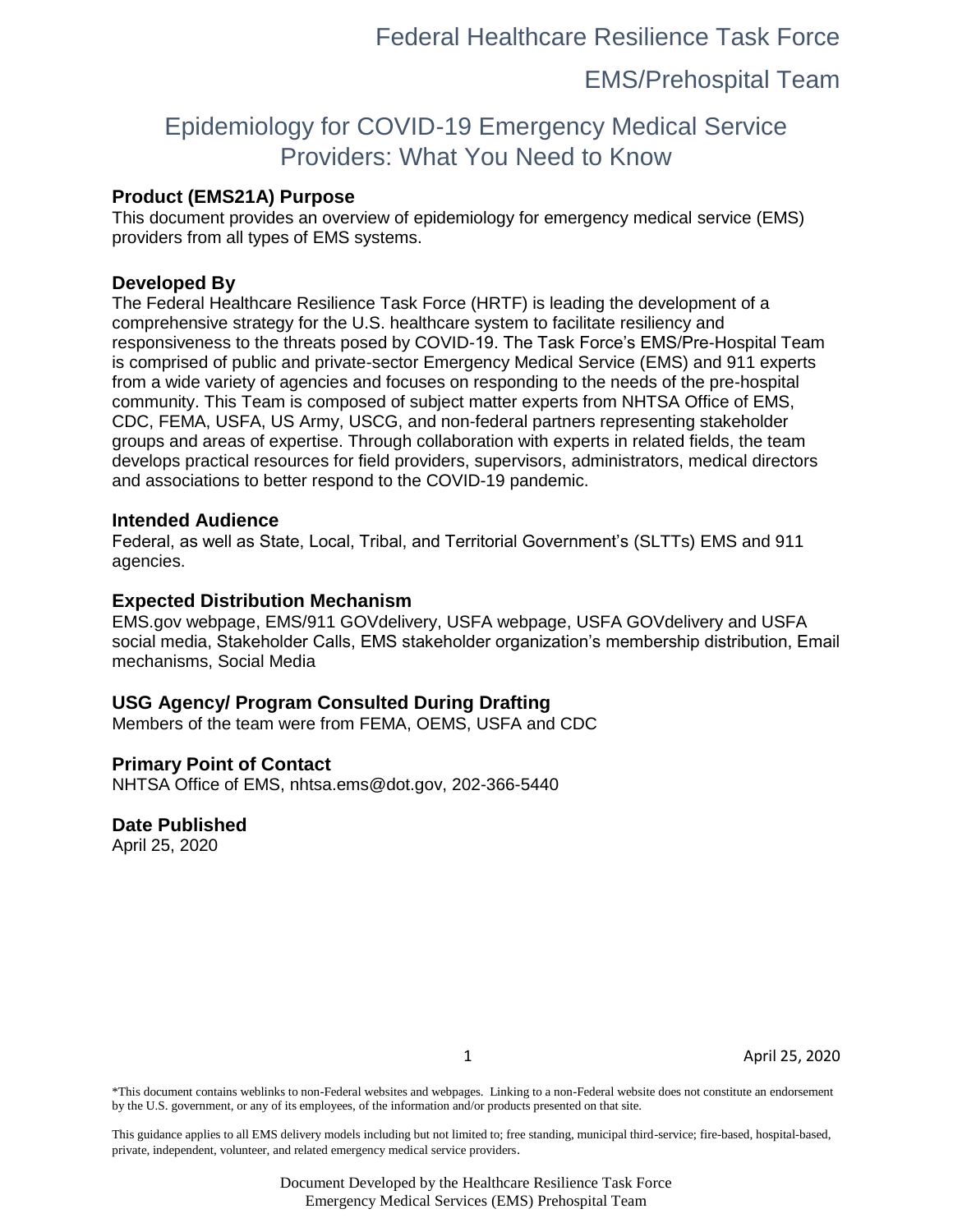## EMS/Prehospital Team

# Epidemiology for COVID-19 Emergency Medical Service Providers: What You Need to Know

#### **Product (EMS21A) Purpose**

This document provides an overview of epidemiology for emergency medical service (EMS) providers from all types of EMS systems.

#### **Developed By**

The Federal Healthcare Resilience Task Force (HRTF) is leading the development of a comprehensive strategy for the U.S. healthcare system to facilitate resiliency and responsiveness to the threats posed by COVID-19. The Task Force's EMS/Pre-Hospital Team is comprised of public and private-sector Emergency Medical Service (EMS) and 911 experts from a wide variety of agencies and focuses on responding to the needs of the pre-hospital community. This Team is composed of subject matter experts from NHTSA Office of EMS, CDC, FEMA, USFA, US Army, USCG, and non-federal partners representing stakeholder groups and areas of expertise. Through collaboration with experts in related fields, the team develops practical resources for field providers, supervisors, administrators, medical directors and associations to better respond to the COVID-19 pandemic.

#### **Intended Audience**

Federal, as well as State, Local, Tribal, and Territorial Government's (SLTTs) EMS and 911 agencies.

#### **Expected Distribution Mechanism**

EMS.gov webpage, EMS/911 GOVdelivery, USFA webpage, USFA GOVdelivery and USFA social media, Stakeholder Calls, EMS stakeholder organization's membership distribution, Email mechanisms, Social Media

#### **USG Agency/ Program Consulted During Drafting**

Members of the team were from FEMA, OEMS, USFA and CDC

#### **Primary Point of Contact**

NHTSA Office of EMS, nhtsa.ems@dot.gov, 202-366-5440

#### **Date Published**

April 25, 2020

1 April 25, 2020

\*This document contains weblinks to non-Federal websites and webpages. Linking to a non-Federal website does not constitute an endorsement by the U.S. government, or any of its employees, of the information and/or products presented on that site.

This guidance applies to all EMS delivery models including but not limited to; free standing, municipal third-service; fire-based, hospital-based, private, independent, volunteer, and related emergency medical service providers.

> Document Developed by the Healthcare Resilience Task Force Emergency Medical Services (EMS) Prehospital Team